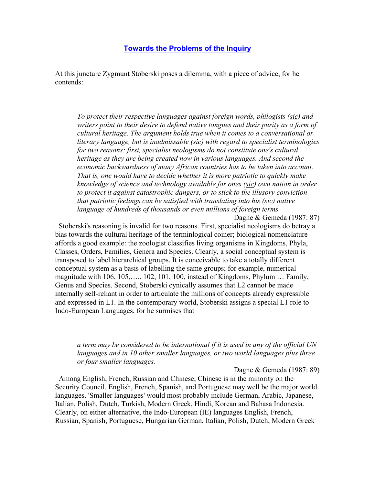## **Towards the Problems of the Inquiry**

At this juncture Zygmunt Stoberski poses a dilemma, with a piece of advice, for he contends:

*To protect their respective languages against foreign words, philogists (sic) and writers point to their desire to defend native tongues and their purity as a form of cultural heritage. The argument holds true when it comes to a conversational or literary language, but is inadmissable (sic) with regard to specialist terminologies for two reasons: first, specialist neologisms do not constitute one's cultural heritage as they are being created now in various languages. And second the economic backwardness of many African countries has to be taken into account. That is, one would have to decide whether it is more patriotic to quickly make knowledge of science and technology available for ones (sic) own nation in order to protect it against catastrophic dangers, or to stick to the illusory conviction that patriotic feelings can be satisfied with translating into his (sic) native language of hundreds of thousands or even millions of foreign terms*

Dagne & Gemeda (1987: 87)

 Stoberski's reasoning is invalid for two reasons. First, specialist neologisms do betray a bias towards the cultural heritage of the terminlogical coiner; biological nomenclature affords a good example: the zoologist classifies living organisms in Kingdoms, Phyla, Classes, Orders, Families, Genera and Species. Clearly, a social conceptual system is transposed to label hierarchical groups. It is conceivable to take a totally different conceptual system as a basis of labelling the same groups; for example, numerical magnitude with 106, 105,….. 102, 101, 100, instead of Kingdoms, Phylum … Family, Genus and Species. Second, Stoberski cynically assumes that L2 cannot be made internally self-reliant in order to articulate the millions of concepts already expressible and expressed in L1. In the contemporary world, Stoberski assigns a special L1 role to Indo-European Languages, for he surmises that

## *a term may be considered to be international if it is used in any of the official UN languages and in 10 other smaller languages, or two world languages plus three or four smaller languages.*

Dagne & Gemeda (1987: 89)

 Among English, French, Russian and Chinese, Chinese is in the minority on the Security Council. English, French, Spanish, and Portuguese may well be the major world languages. 'Smaller languages' would most probably include German, Arabic, Japanese, Italian, Polish, Dutch, Turkish, Modern Greek, Hindi, Korean and Bahasa Indonesia. Clearly, on either alternative, the Indo-European (IE) languages English, French, Russian, Spanish, Portuguese, Hungarian German, Italian, Polish, Dutch, Modern Greek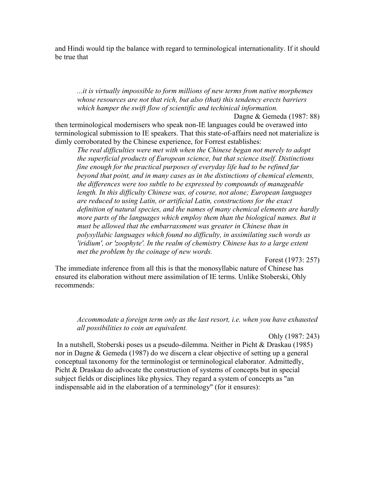and Hindi would tip the balance with regard to terminological internationality. If it should be true that

*...it is virtually impossible to form millions of new terms from native morphemes whose resources are not that rich, but also (that) this tendency erects barriers which hamper the swift flow of scientific and techinical information.*

Dagne & Gemeda (1987: 88) then terminological modernisers who speak non-IE languages could be overawed into terminological submission to IE speakers. That this state-of-affairs need not materialize is dimly corroborated by the Chinese experience, for Forrest establishes:

*The real difficulties were met with when the Chinese began not merely to adopt the superficial products of European science, but that science itself. Distinctions fine enough for the practical purposes of everyday life had to be refined far beyond that point, and in many cases as in the distinctions of chemical elements, the differences were too subtle to be expressed by compounds of manageable length. In this difficulty Chinese was, of course, not alone; European languages are reduced to using Latin, or artificial Latin, constructions for the exact definition of natural species, and the names of many chemical elements are hardly more parts of the languages which employ them than the biological names. But it must be allowed that the embarrassment was greater in Chinese than in polysyllabic languages which found no difficulty, in assimilating such words as 'iridium', or 'zoophyte'. In the realm of chemistry Chinese has to a large extent met the problem by the coinage of new words.*

Forest (1973: 257)

The immediate inference from all this is that the monosyllabic nature of Chinese has ensured its elaboration without mere assimilation of IE terms. Unlike Stoberski, Ohly recommends:

*Accommodate a foreign term only as the last resort, i.e. when you have exhausted all possibilities to coin an equivalent.*

Ohly (1987: 243)

 In a nutshell, Stoberski poses us a pseudo-dilemma. Neither in Picht & Draskau (1985) nor in Dagne & Gemeda (1987) do we discern a clear objective of setting up a general conceptual taxonomy for the terminologist or terminological elaborator. Admittedly, Picht & Draskau do advocate the construction of systems of concepts but in special subject fields or disciplines like physics. They regard a system of concepts as "an indispensable aid in the elaboration of a terminology" (for it ensures):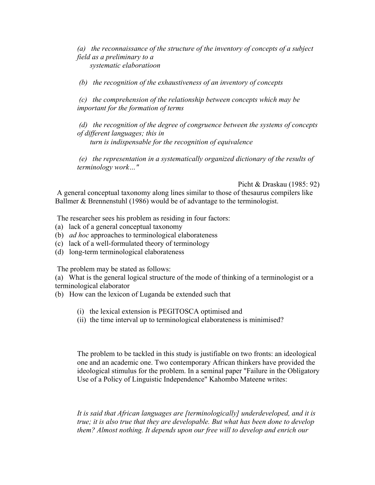*(a) the reconnaissance of the structure of the inventory of concepts of a subject field as a preliminary to a systematic elaboratioon*

 *(b) the recognition of the exhaustiveness of an inventory of concepts*

 *(c) the comprehension of the relationship between concepts which may be important for the formation of terms*

 *(d) the recognition of the degree of congruence between the systems of concepts of different languages; this in turn is indispensable for the recognition of equivalence*

 *(e) the representation in a systematically organized dictionary of the results of terminology work…"*

Picht & Draskau (1985: 92)

 A general conceptual taxonomy along lines similar to those of thesaurus compilers like Ballmer & Brennenstuhl (1986) would be of advantage to the terminologist.

The researcher sees his problem as residing in four factors:

- (a) lack of a general conceptual taxonomy
- (b) *ad hoc* approaches to terminological elaborateness
- (c) lack of a well-formulated theory of terminology
- (d) long-term terminological elaborateness

The problem may be stated as follows:

(a) What is the general logical structure of the mode of thinking of a terminologist or a terminological elaborator

- (b) How can the lexicon of Luganda be extended such that
	- (i) the lexical extension is PEGITOSCA optimised and
	- (ii) the time interval up to terminological elaborateness is minimised?

The problem to be tackled in this study is justifiable on two fronts: an ideological one and an academic one. Two contemporary African thinkers have provided the ideological stimulus for the problem. In a seminal paper "Failure in the Obligatory Use of a Policy of Linguistic Independence" Kahombo Mateene writes:

*It is said that African languages are [terminologically] underdeveloped, and it is true; it is also true that they are developable. But what has been done to develop them? Almost nothing. It depends upon our free will to develop and enrich our*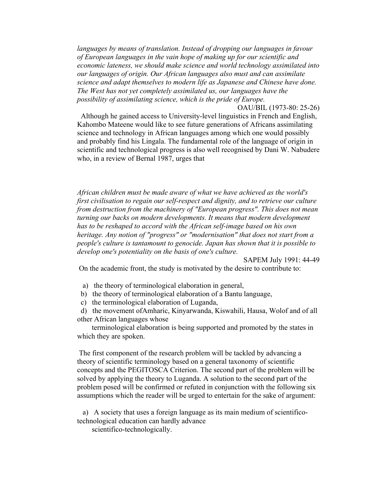*languages by means of translation. Instead of dropping our languages in favour of European languages in the vain hope of making up for our scientific and economic lateness, we should make science and world technology assimilated into our languages of origin. Our African languages also must and can assimilate science and adapt themselves to modern life as Japanese and Chinese have done. The West has not yet completely assimilated us, our languages have the possibility of assimilating science, which is the pride of Europe.*

OAU/BIL (1973-80: 25-26) Although he gained access to University-level linguistics in French and English, Kahombo Mateene would like to see future generations of Africans assimilating science and technology in African languages among which one would possibly and probably find his Lingala. The fundamental role of the language of origin in scientific and technological progress is also well recognised by Dani W. Nabudere who, in a review of Bernal 1987, urges that

*African children must be made aware of what we have achieved as the world's first civilisation to regain our self-respect and dignity, and to retrieve our culture from destruction from the machinery of "European progress". This does not mean turning our backs on modern developments. It means that modern development has to be reshaped to accord with the African self-image based on his own heritage. Any notion of "progress" or "modernisation" that does not start from a people's culture is tantamount to genocide. Japan has shown that it is possible to develop one's potentiality on the basis of one's culture.*

SAPEM July 1991: 44-49

On the academic front, the study is motivated by the desire to contribute to:

a) the theory of terminological elaboration in general,

b) the theory of terminological elaboration of a Bantu language,

c) the terminological elaboration of Luganda,

 d) the movement ofAmharic, Kinyarwanda, Kiswahili, Hausa, Wolof and of all other African languages whose

 terminological elaboration is being supported and promoted by the states in which they are spoken.

 The first component of the research problem will be tackled by advancing a theory of scientific terminology based on a general taxonomy of scientific concepts and the PEGITOSCA Criterion. The second part of the problem will be solved by applying the theory to Luganda. A solution to the second part of the problem posed will be confirmed or refuted in conjunction with the following six assumptions which the reader will be urged to entertain for the sake of argument:

 a) A society that uses a foreign language as its main medium of scientificotechnological education can hardly advance

scientifico-technologically.